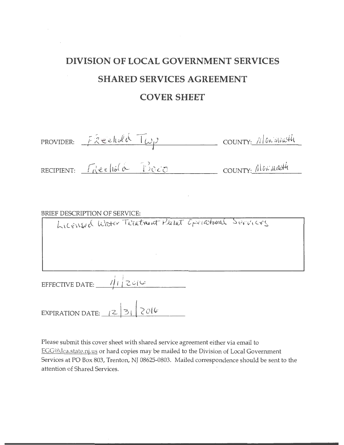## **DIVISION OF LOCAL GOVERNMENT SERVICES SHARED SERVICES AGREEMENT COVER SHEET**

| PROVIDER: $F\hat{x}$ eelwla $T\omega\rho$ | COUNTY: 11 ON ALOW44 |
|-------------------------------------------|----------------------|
| RECIPIENT: Fréeliola Boco                 | COUNTY: ALONARY      |
|                                           |                      |

BRIEF DESCRIPTION OF SERVICE:<br>| LICENSEC Water Treatment Plant Creatment Services

| EFFECTIVE DATE: | 1201 |  |
|-----------------|------|--|
|                 |      |  |

EXPIRATION DATE:  $|2|3|$   $2016$ 

Please submit this cover sheet with shared service agreement either via email to EGG@dca.state.nj.us or hard copies may be mailed to the Division of Local Government Services at PO Box 803, Trenton, NJ 08625-0803. Mailed correspondence should be sent to the attention of Shared Services.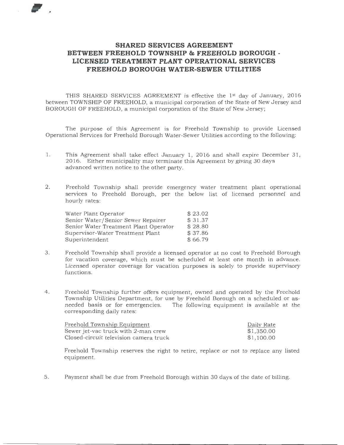## **SHARED SERVICES AGREEMENT BETWEEN FREEHOLD TOWNSHIP & FREEHOLD BOROUGH** - **LICENSED TREATMENT PLANT OPERATIONAL SERVICES FREEHOLD BOROUGH WATER-SEWER UTILITIES**

THIS SHARED SERVICES AGREEMENT is effective the 1st day of January, 2016 between TOWNSHIP OF FREEHOLD, a municipal corporation of the State of New Jersey and BOROUGH OF FREEHOLD, a municipal corporation of the State of New Jersey;

The purpose of this Agreement is for Freehold Township to provide Licensed Operational Services for Freehold Borough Water-Sewer Utilities according to the following:

- 1. This Agreement shall take effect January 1, 2016 and shall expire December 31, 2016. Either municipality may terminate this Agreement by giving 30 days advanced written notice to the other party.
- 2. Freehold Township shall provide emergency water treatment plant operational services to Freehold Borough, per the below list of licensed personnel and hourly rates:

| Water Plant Operator                  | \$23.02 |
|---------------------------------------|---------|
| Senior Water/Senior Sewer Repairer    | \$31.37 |
| Senior Water Treatment Plant Operator | \$28.80 |
| Supervisor-Water Treatment Plant      | \$37.86 |
| Superintendent                        | \$66.79 |

- 3. Freehold Township shall provide a licensed operator at no cost to Freehold Borough for vacation coverage, which must be scheduled at least one month in advance. Licensed operator coverage for vacation purposes is solely to provide supervisory functions.
- 4. Freehold Township further offers equipment, owned and operated by the Freehold Township Utilities Department, for use by Freehold Borough on a scheduled or asneeded basis or for emergencies. The following equipment is available at the corresponding daily rates:

| Freehold Township Equipment            | Daily Rate |
|----------------------------------------|------------|
| Sewer jet-vac truck with 2-man crew    | \$1,350.00 |
| Closed-circuit television camera truck | \$1,100.00 |

Freehold Township reserves the right to retire, replace or not to replace any listed equipment.

5. Payment shall be due from Freehold Borough within 30 days of the date of billing.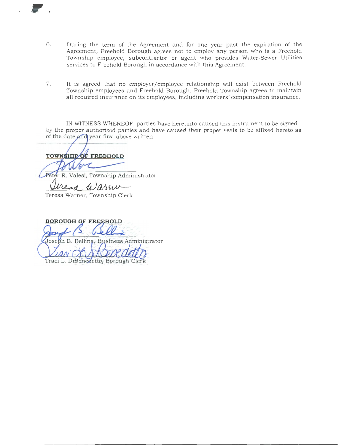- 6. During the term of the Agreement and for one year past the expiration of the Agreement, Freehold Borough agrees not to employ any person who is a Freehold Township employee, subcontractor or agent who provides Water-Sewer Utilities services to Freehold Borough in accordance with this Agreement.
- 7. It is agreed that no employer/employee relationship will exist between Freehold Township employees and Freehold Borough. Freehold Township agrees to maintain all required insurance on its employees, including workers' compensation insurance.

IN WITNESS WHEREOF, parties have hereunto caused this instrument to be signed by the proper authorized parties and have caused their proper seals to be affixed hereto as of the date and year first above written.

TOWNSHIP OF FREEHOLD

,.

Peter R. Valesi, Township Administrator

Urea Warner

Teresa Warner, Township Clerk

**BOROUGH OF FREEHOLD** Joseph B. Bellina, Business Administrator Traci L. DiBenedetto, Borough Clerk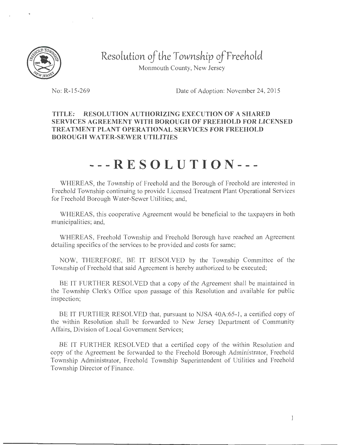

**Resolutlon** *of the* **Townsh.tp** *ojfreeh.otd*  Monmouth County, New Jersey

No: R-15-269 Date of Adoption: November 24, 2015

## **TITLE: RESOLUTION AUTHORIZING EXECUTION OF A SHARED SERVICES AGREEMENT WITH BOROUGH OF FREEHOLD FOR LICENSED TREATMENT PLANT OPERATIONAL SERVICES FOR FREEHOLD BOROUGH WATER-SEWER UTILITIES**

## **---RESOLUTION---**

WHEREAS, the Township of Freehold and the Borough of Freehold are interested in Freehold Township continuing to provide Licensed Treatment Plant Operational Services for Freehold Borough Water-Sewer Utilities; and,

WHEREAS, this cooperative Agreement would be beneficial to the taxpayers in both municipalities; and,

WHEREAS, Freehold Township and Freehold Borough have reached an Agreement detailing specifics of the services to be provided and costs for same;

NOW, THEREFORE, BE IT RESOLVED by the Township Committee of the Township of Freehold that said Agreement is hereby authorized to be executed;

BE IT FURTHER RESOLVED that a copy of the Agreement shall be maintained in the Township Clerk's Office upon passage of this Resolution and available for public inspection;

BE IT FURTHER RESOLVED that, pursuant to NJSA 40A:65-1, a certified copy of the within Resolution shall be forwarded to New Jersey Department of Community Affairs, Division of Local Government Services;

BE IT FURTHER RESOLVED that a certified copy of the within Resolution and copy of the Agreement be forwarded to the Freehold Borough Administrator, Freehold Township Administrator, Freehold Township Superintendent of Utilities and Freehold Township Director of Finance.